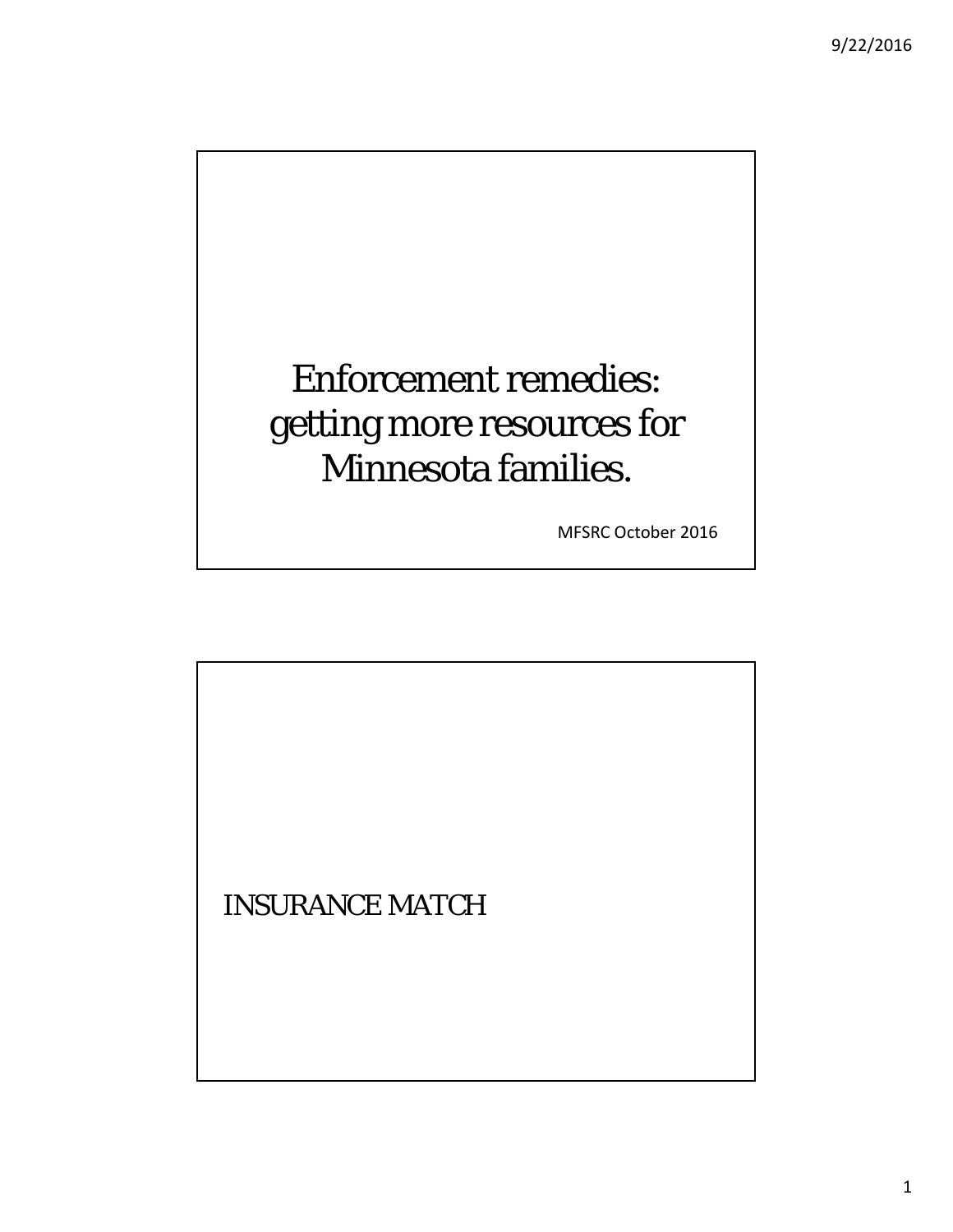### Enforcement remedies: getting more resources for Minnesota families.

MFSRC October 2016

INSURANCE MATCH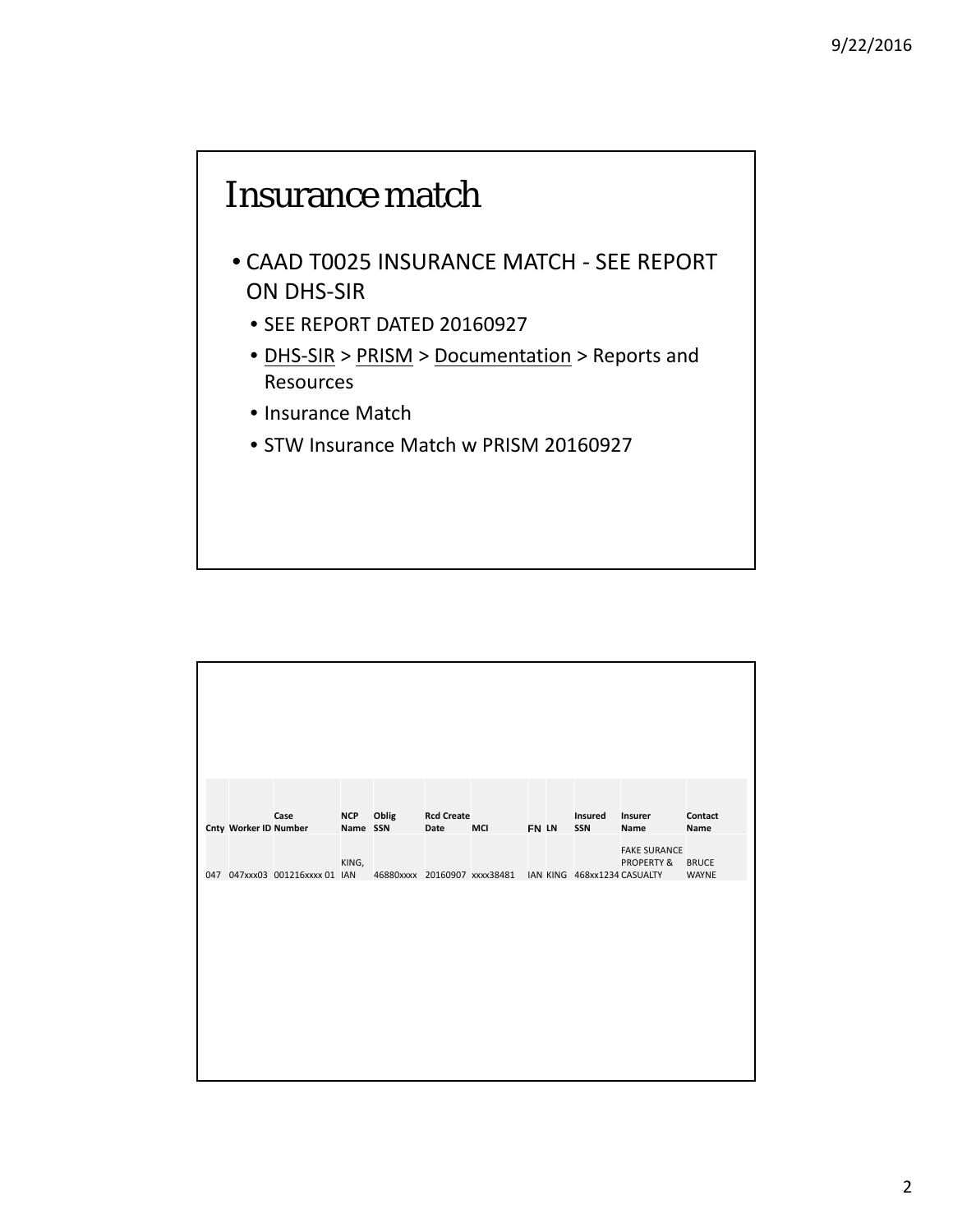#### Insurance match

- CAAD T0025 INSURANCE MATCH ‐ SEE REPORT ON DHS‐SIR
	- SEE REPORT DATED 20160927
	- DHS-SIR > PRISM > Documentation > Reports and Resources
	- Insurance Match
	- STW Insurance Match w PRISM 20160927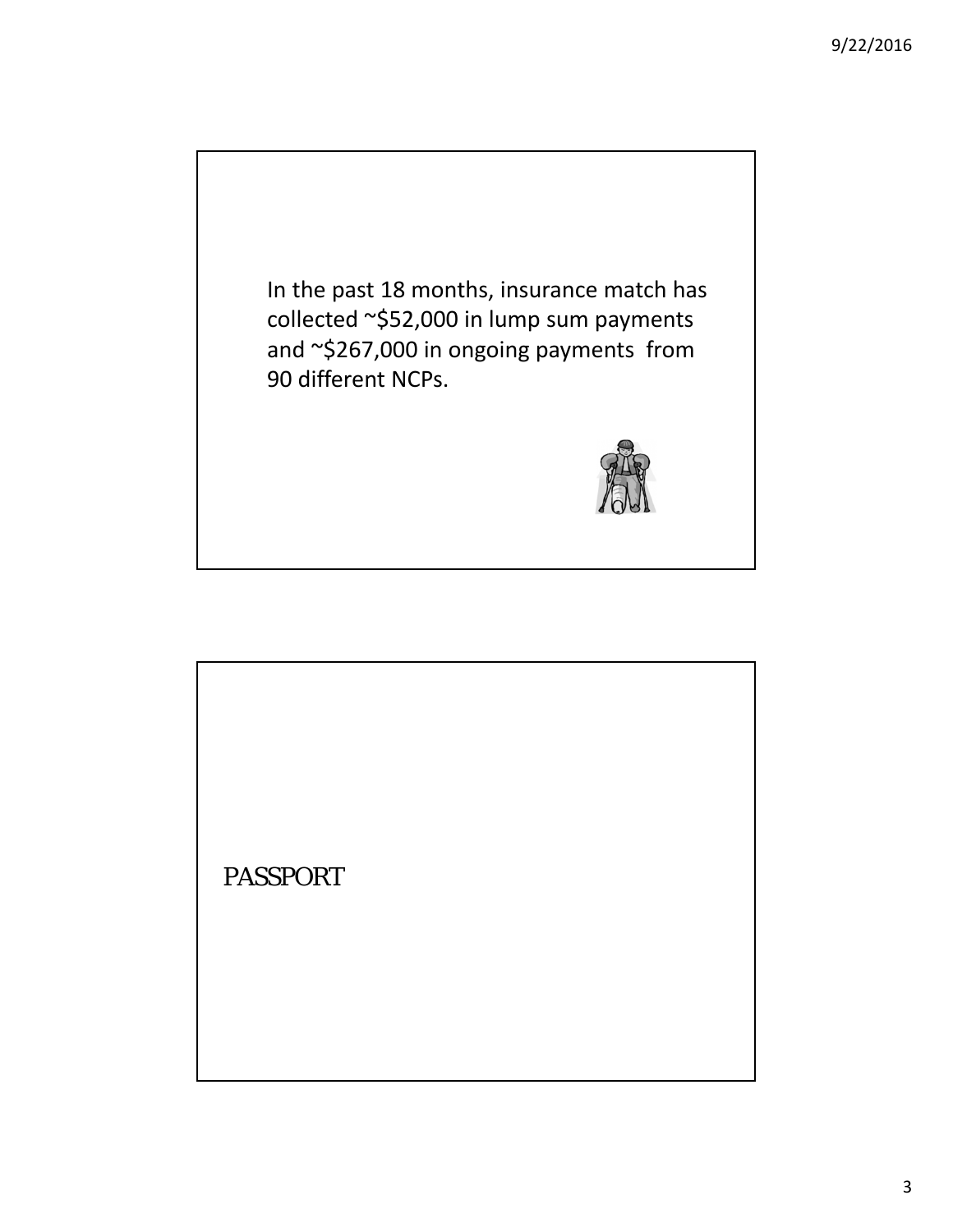

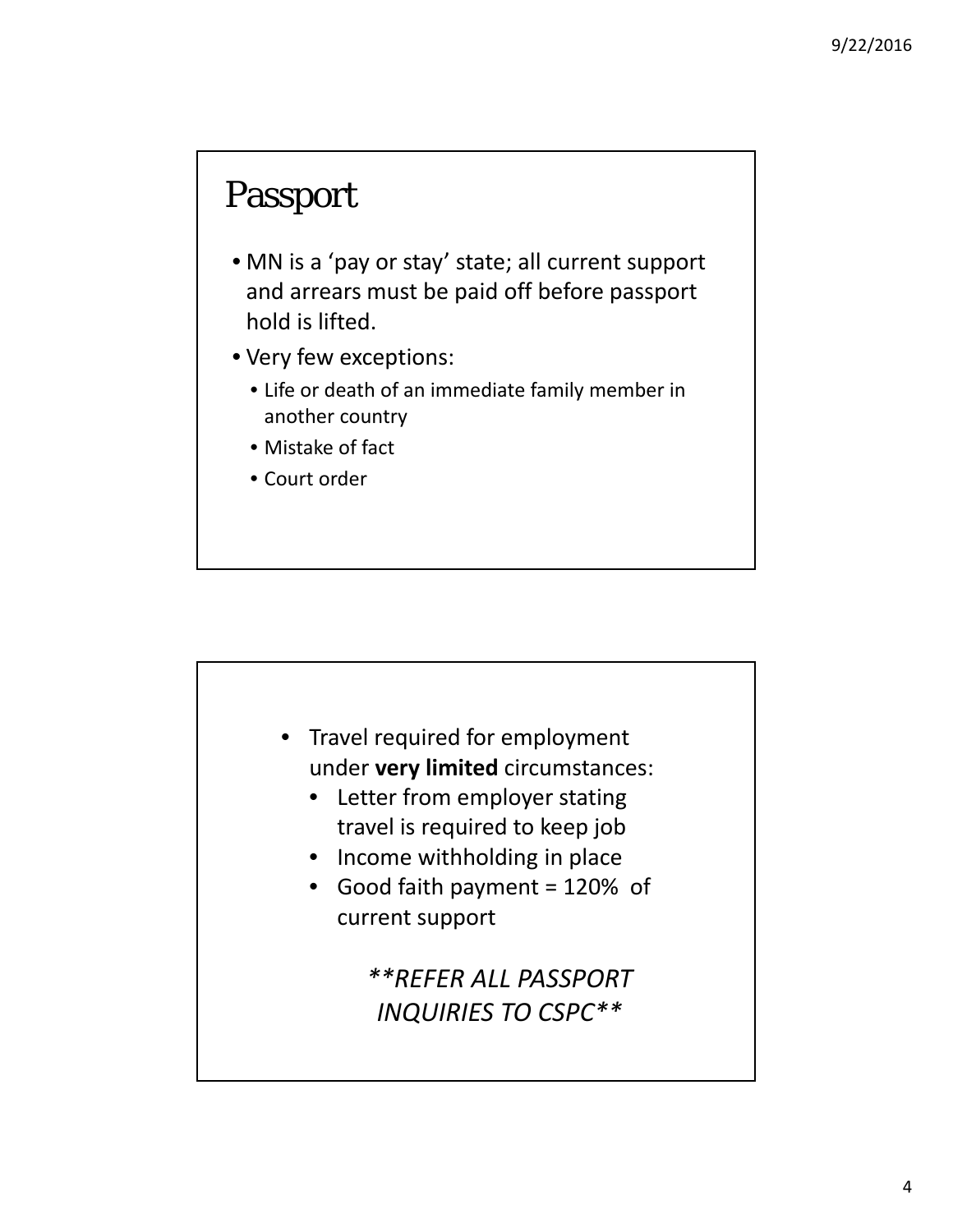#### Passport

- MN is a 'pay or stay' state; all current support and arrears must be paid off before passport hold is lifted.
- Very few exceptions:
	- Life or death of an immediate family member in another country
	- Mistake of fact
	- Court order

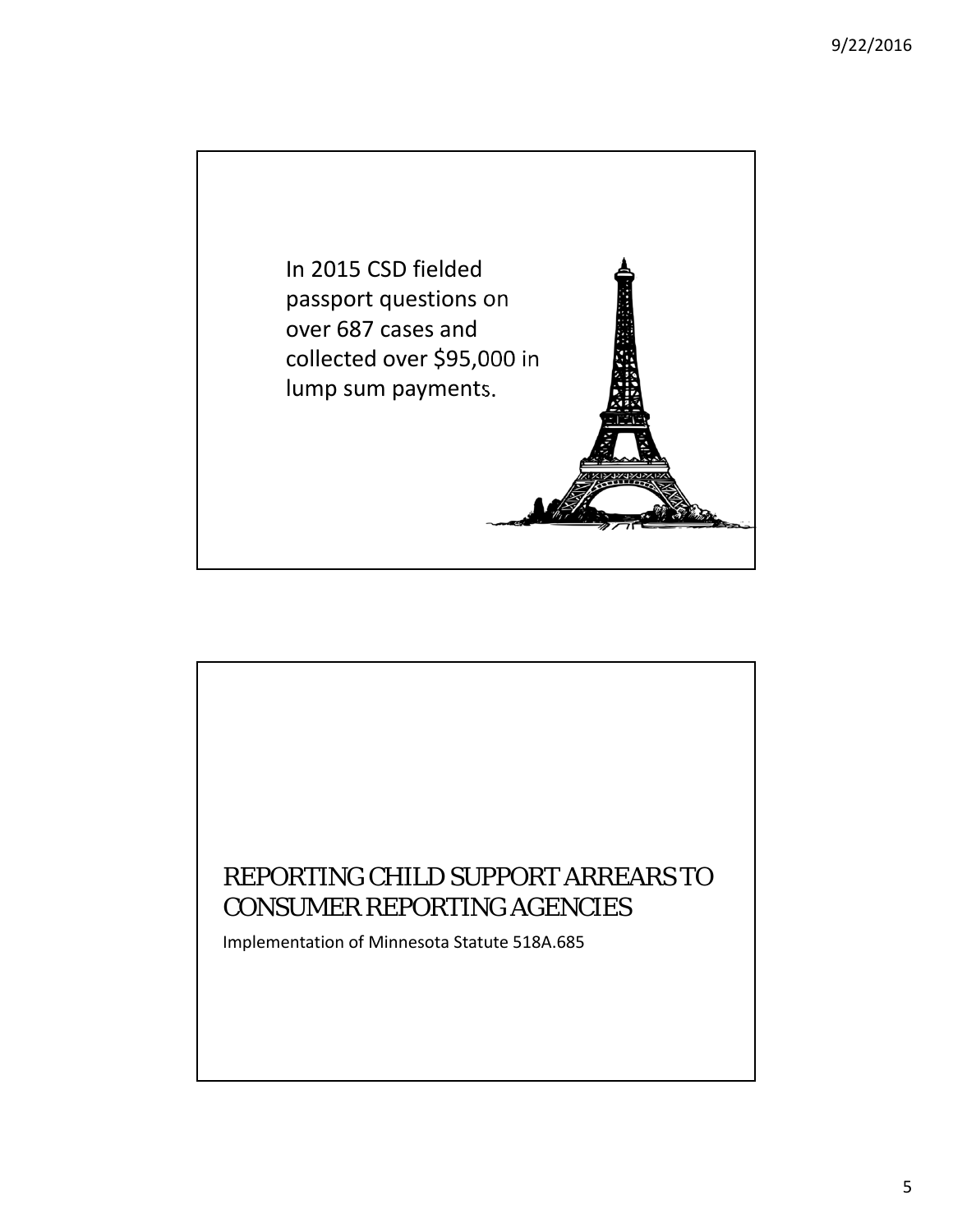

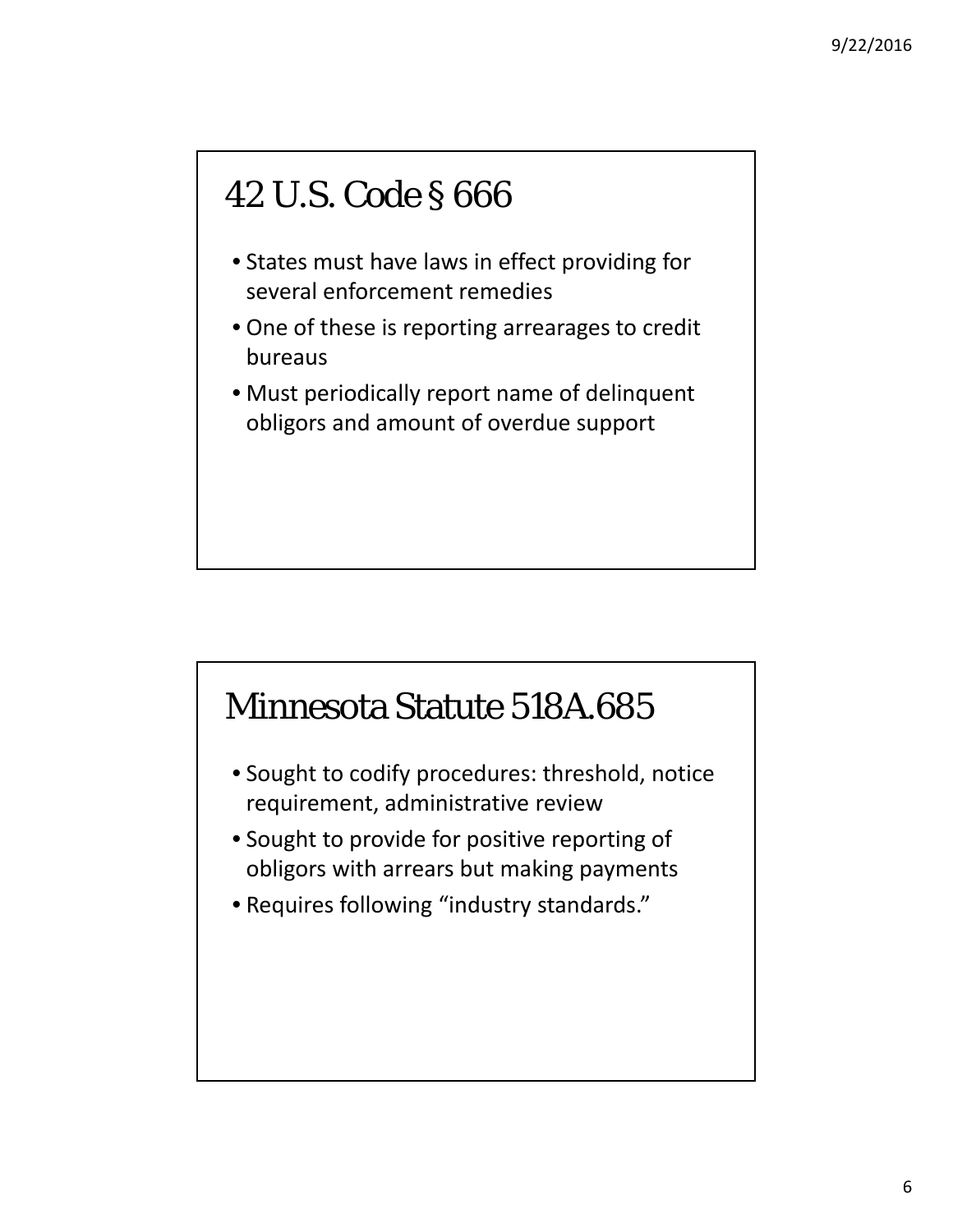#### 42 U.S. Code § 666

- States must have laws in effect providing for several enforcement remedies
- One of these is reporting arrearages to credit bureaus
- Must periodically report name of delinquent obligors and amount of overdue support

#### Minnesota Statute 518A.685

- Sought to codify procedures: threshold, notice requirement, administrative review
- Sought to provide for positive reporting of obligors with arrears but making payments
- Requires following "industry standards."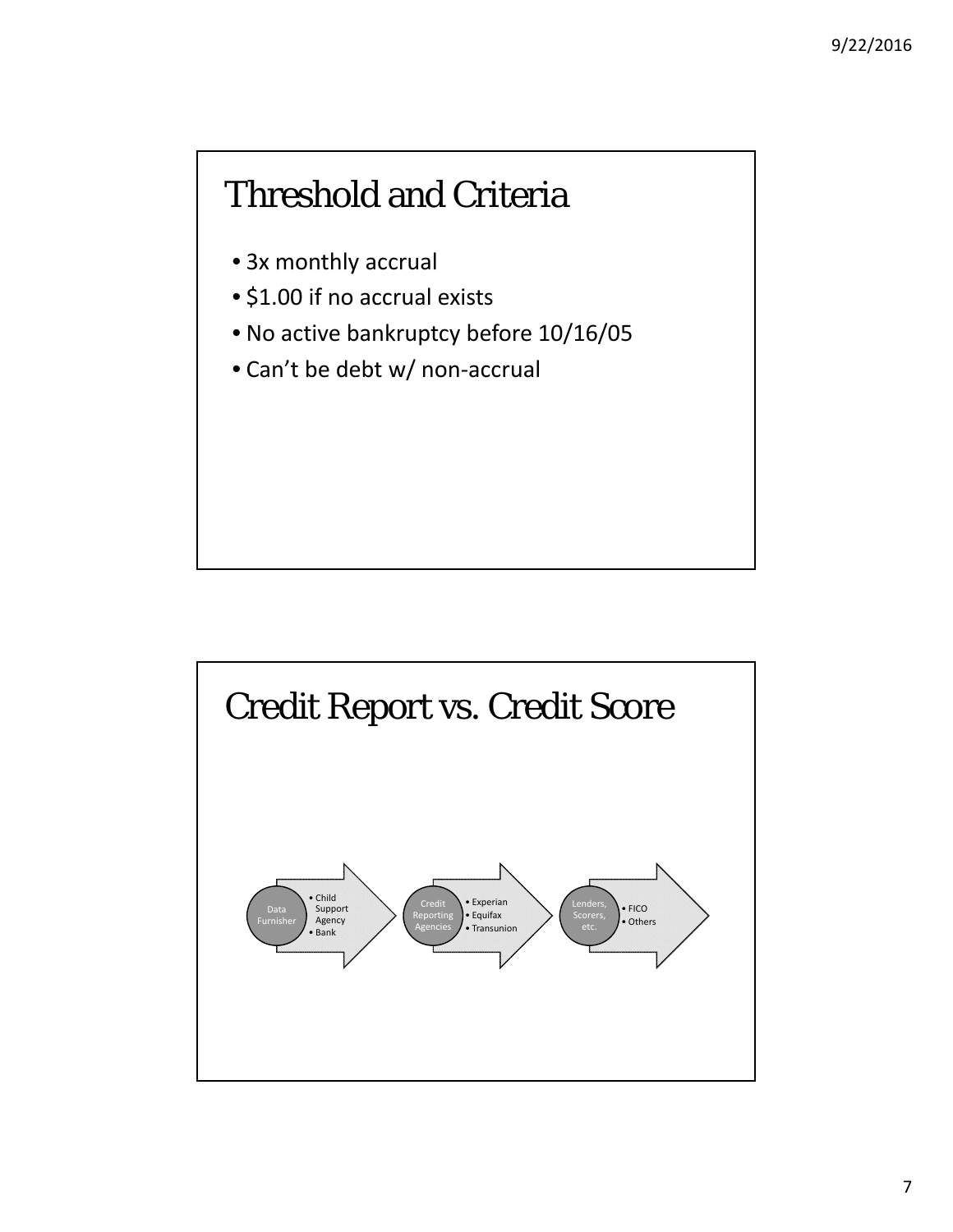#### Threshold and Criteria

- 3x monthly accrual
- \$1.00 if no accrual exists
- No active bankruptcy before 10/16/05
- Can't be debt w/ non‐accrual

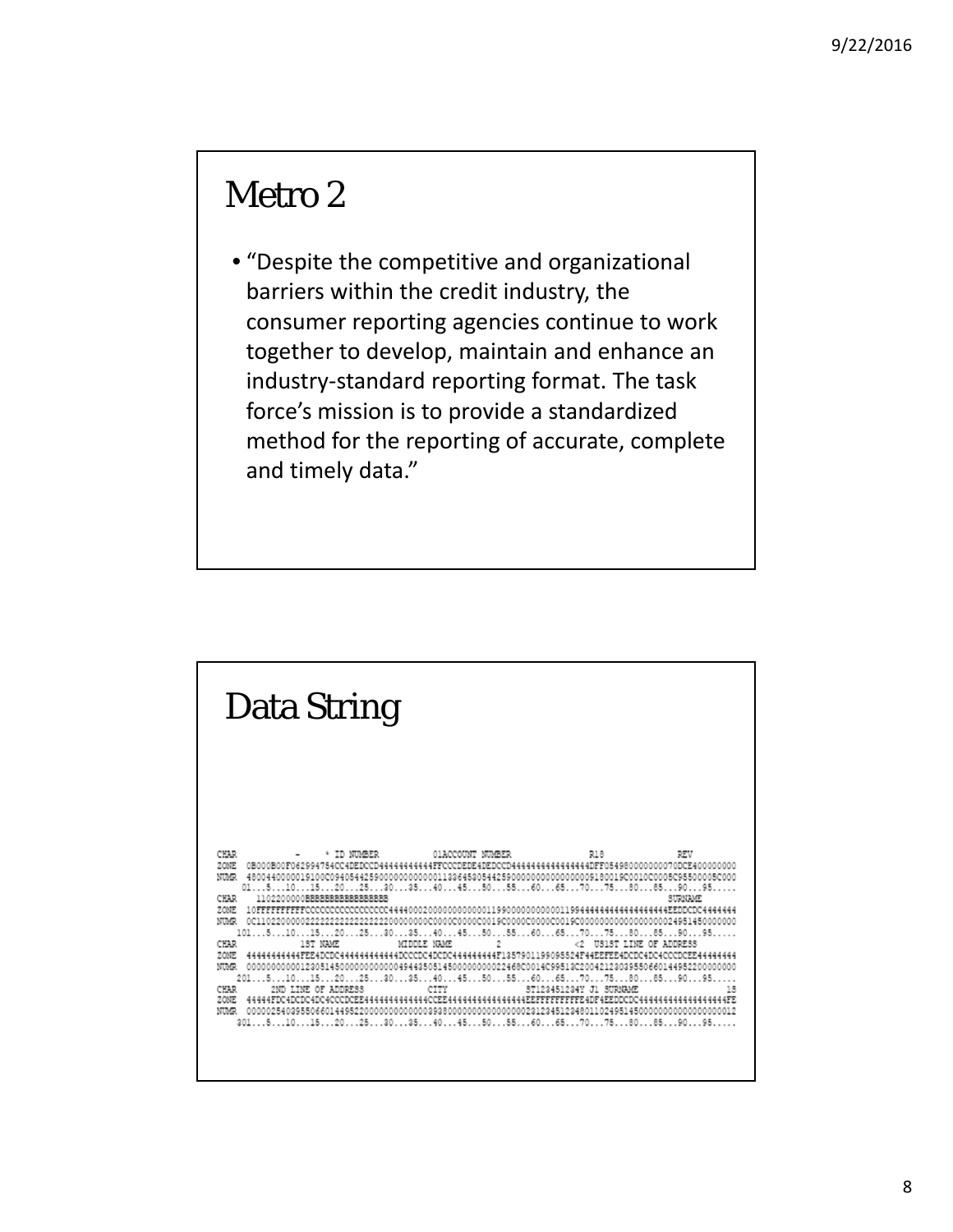#### Metro 2

• "Despite the competitive and organizational barriers within the credit industry, the consumer reporting agencies continue to work together to develop, maintain and enhance an industry‐standard reporting format. The task force's mission is to provide a standardized method for the reporting of accurate, complete and timely data."

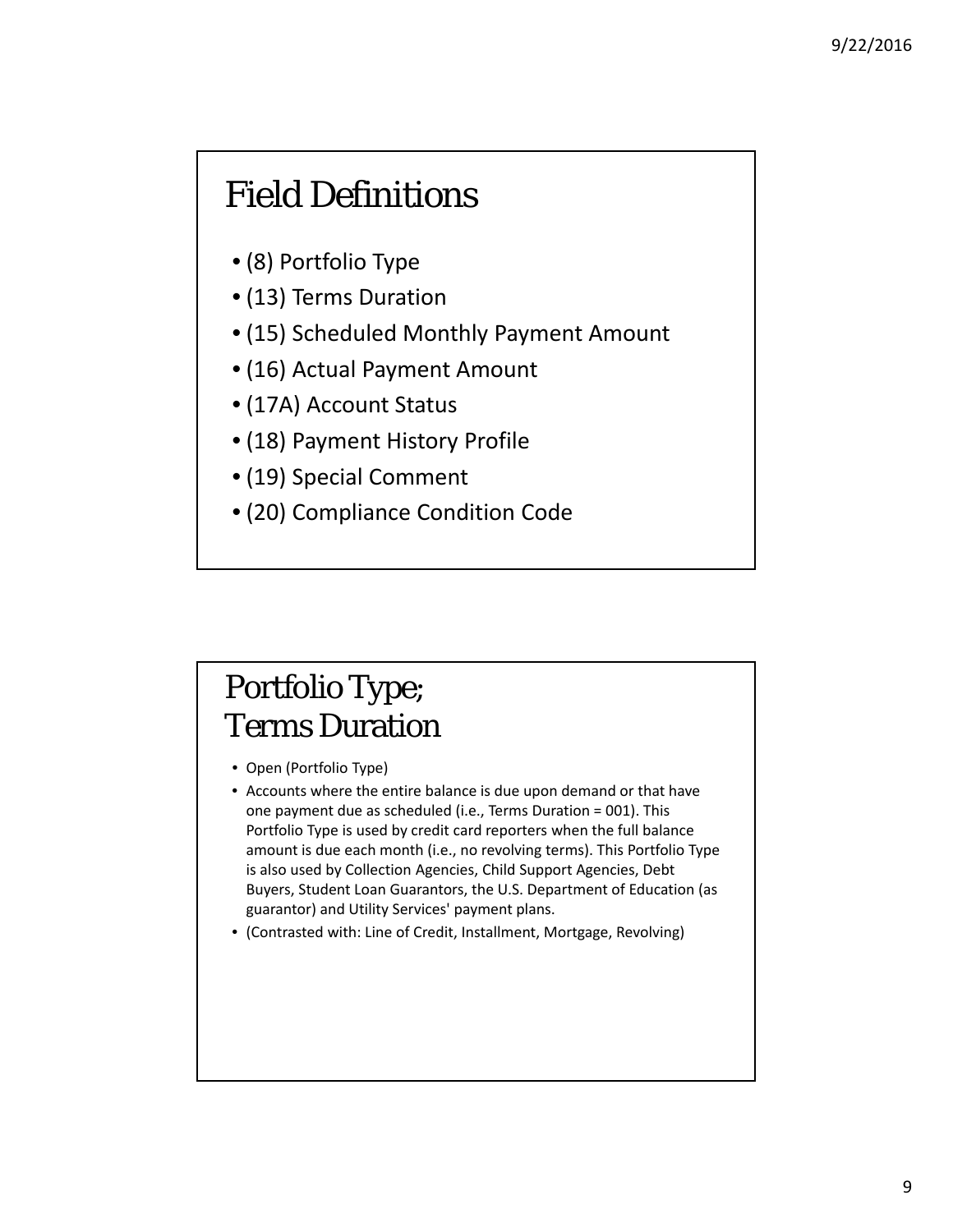#### Field Definitions

- (8) Portfolio Type
- (13) Terms Duration
- (15) Scheduled Monthly Payment Amount
- (16) Actual Payment Amount
- (17A) Account Status
- (18) Payment History Profile
- (19) Special Comment
- (20) Compliance Condition Code

#### Portfolio Type; Terms Duration

- Open (Portfolio Type)
- Accounts where the entire balance is due upon demand or that have one payment due as scheduled (i.e., Terms Duration = 001). This Portfolio Type is used by credit card reporters when the full balance amount is due each month (i.e., no revolving terms). This Portfolio Type is also used by Collection Agencies, Child Support Agencies, Debt Buyers, Student Loan Guarantors, the U.S. Department of Education (as guarantor) and Utility Services' payment plans.
- (Contrasted with: Line of Credit, Installment, Mortgage, Revolving)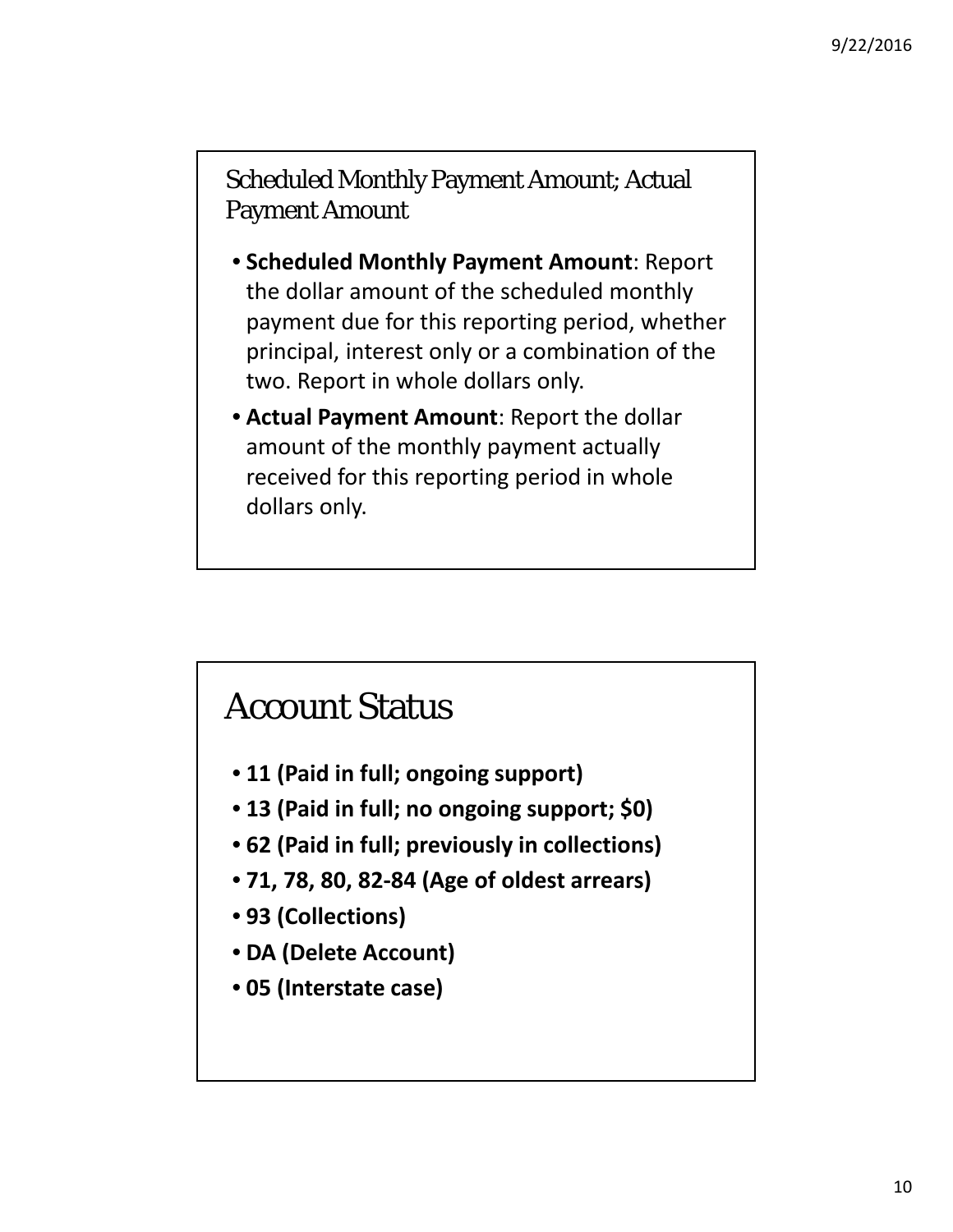Scheduled Monthly Payment Amount; Actual Payment Amount

- **Scheduled Monthly Payment Amount**: Report the dollar amount of the scheduled monthly payment due for this reporting period, whether principal, interest only or a combination of the two. Report in whole dollars only.
- **Actual Payment Amount**: Report the dollar amount of the monthly payment actually received for this reporting period in whole dollars only.

#### Account Status

- **11 (Paid in full; ongoing support)**
- **13 (Paid in full; no ongoing support; \$0)**
- **62 (Paid in full; previously in collections)**
- **71, 78, 80, 82‐84 (Age of oldest arrears)**
- **93 (Collections)**
- **DA (Delete Account)**
- **05 (Interstate case)**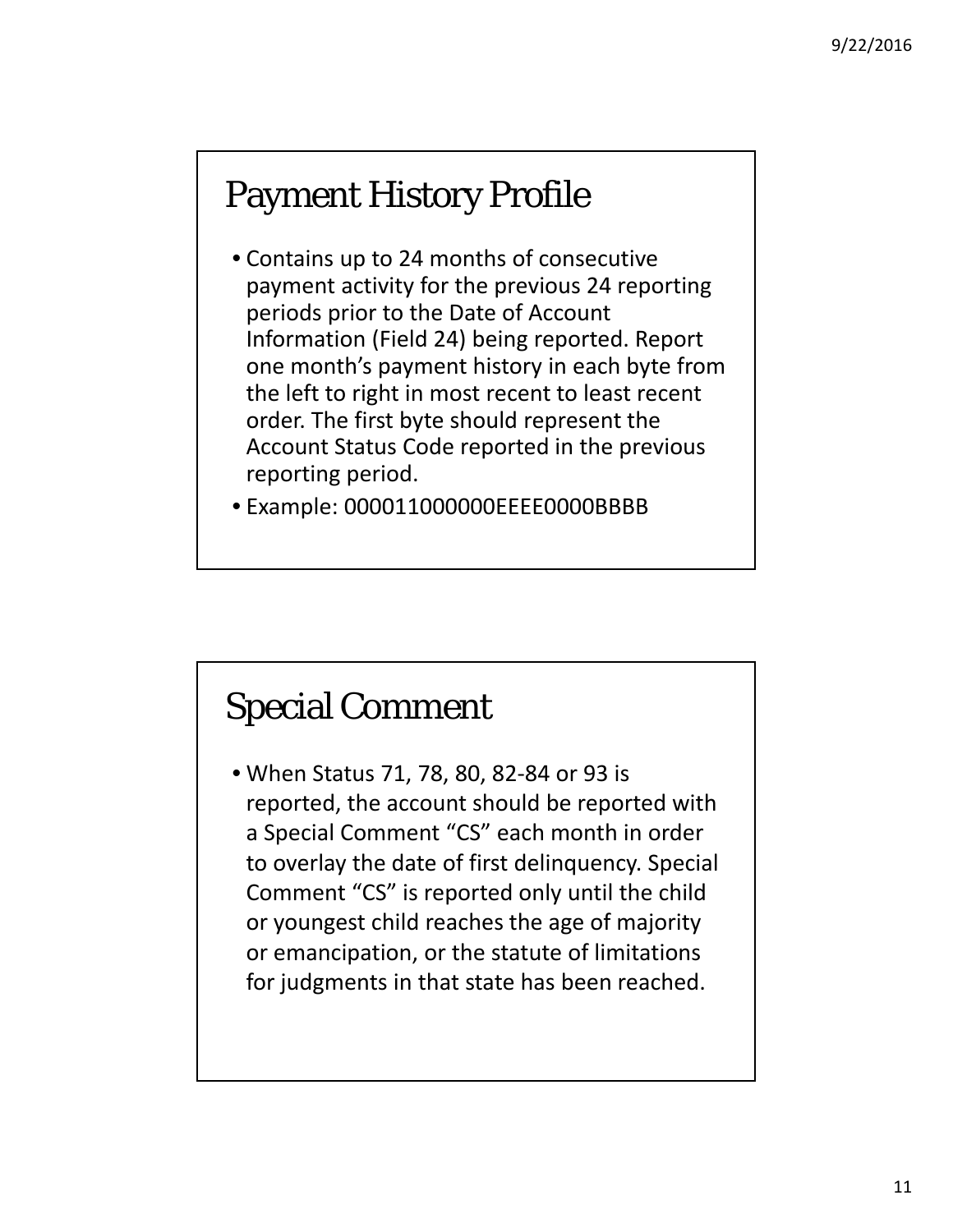#### Payment History Profile

- Contains up to 24 months of consecutive payment activity for the previous 24 reporting periods prior to the Date of Account Information (Field 24) being reported. Report one month's payment history in each byte from the left to right in most recent to least recent order. The first byte should represent the Account Status Code reported in the previous reporting period.
- Example: 000011000000EEEE0000BBBB

#### Special Comment

• When Status 71, 78, 80, 82‐84 or 93 is reported, the account should be reported with a Special Comment "CS" each month in order to overlay the date of first delinquency. Special Comment "CS" is reported only until the child or youngest child reaches the age of majority or emancipation, or the statute of limitations for judgments in that state has been reached.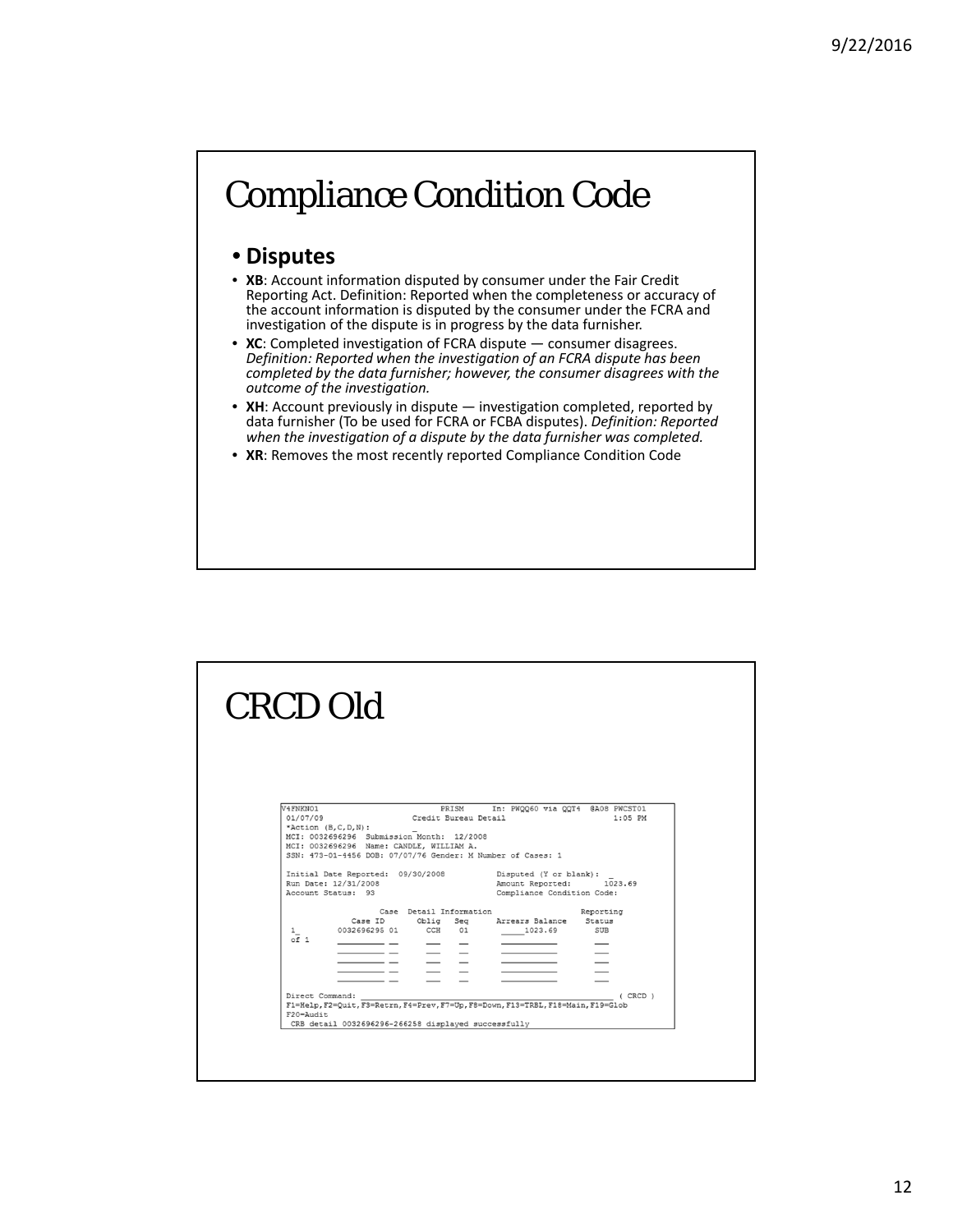#### Compliance Condition Code

#### • **Disputes**

- **XB**: Account information disputed by consumer under the Fair Credit Reporting Act. Definition: Reported when the completeness or accuracy of the account information is disputed by the consumer under the FCRA and investigation of the dispute is in progress by the data furnisher.
- **XC**: Completed investigation of FCRA dispute consumer disagrees. *Definition: Reported when the investigation of an FCRA dispute has been completed by the data furnisher; however, the consumer disagrees with the outcome of the investigation.*
- **XH**: Account previously in dispute investigation completed, reported by data furnisher (To be used for FCRA or FCBA disputes). *Definition: Reported when the investigation of a dispute by the data furnisher was completed.*
- **XR**: Removes the most recently reported Compliance Condition Code

| <b>CRCD Old</b>                                |                                                                                                                                                                                                                                               |                                                                                                                                                                               |                                                                                                                                                      |                                  |  |
|------------------------------------------------|-----------------------------------------------------------------------------------------------------------------------------------------------------------------------------------------------------------------------------------------------|-------------------------------------------------------------------------------------------------------------------------------------------------------------------------------|------------------------------------------------------------------------------------------------------------------------------------------------------|----------------------------------|--|
| V4FNKN01<br>01/07/09                           | *Action $(B, C, D, N)$ :<br>MCI: 0032696296 Submission Month: 12/2008<br>MCI: 0032696296 Name: CANDLE, WILLIAM A.<br>SSN: 473-01-4456 DOB: 07/07/76 Gender: M Number of Cases: 1<br>Initial Date Reported: 09/30/2008<br>Run Date: 12/31/2008 | PRISM<br>Credit Bureau Detail                                                                                                                                                 | In: PWQQ60 via QQT4 @A08 PWCST01<br>Disputed (Y or blank):<br>Amount Reported: 1023.69                                                               | $1:05$ PM                        |  |
| 1<br>$\overline{of}$ 1<br>$F20 = \text{Audit}$ | Account Status: 93<br>0032696295 01 CCH 01<br>Direct Command:                                                                                                                                                                                 | Case Detail Information<br>Case ID Oblig Seq<br>$\overline{\phantom{a}}$ $\overline{\phantom{a}}$<br>$\equiv$ $\equiv$<br>CRB detail 0032696296-266258 displayed successfully | Compliance Condition Code:<br>Arrears Balance Status<br>1023.69<br>F1=Help, F2=Quit, F3=Retrn, F4=Prev, F7=Up, F8=Down, F13=TRBL, F18=Main, F19=Glob | Reporting<br>SUB<br>$($ CRCD $)$ |  |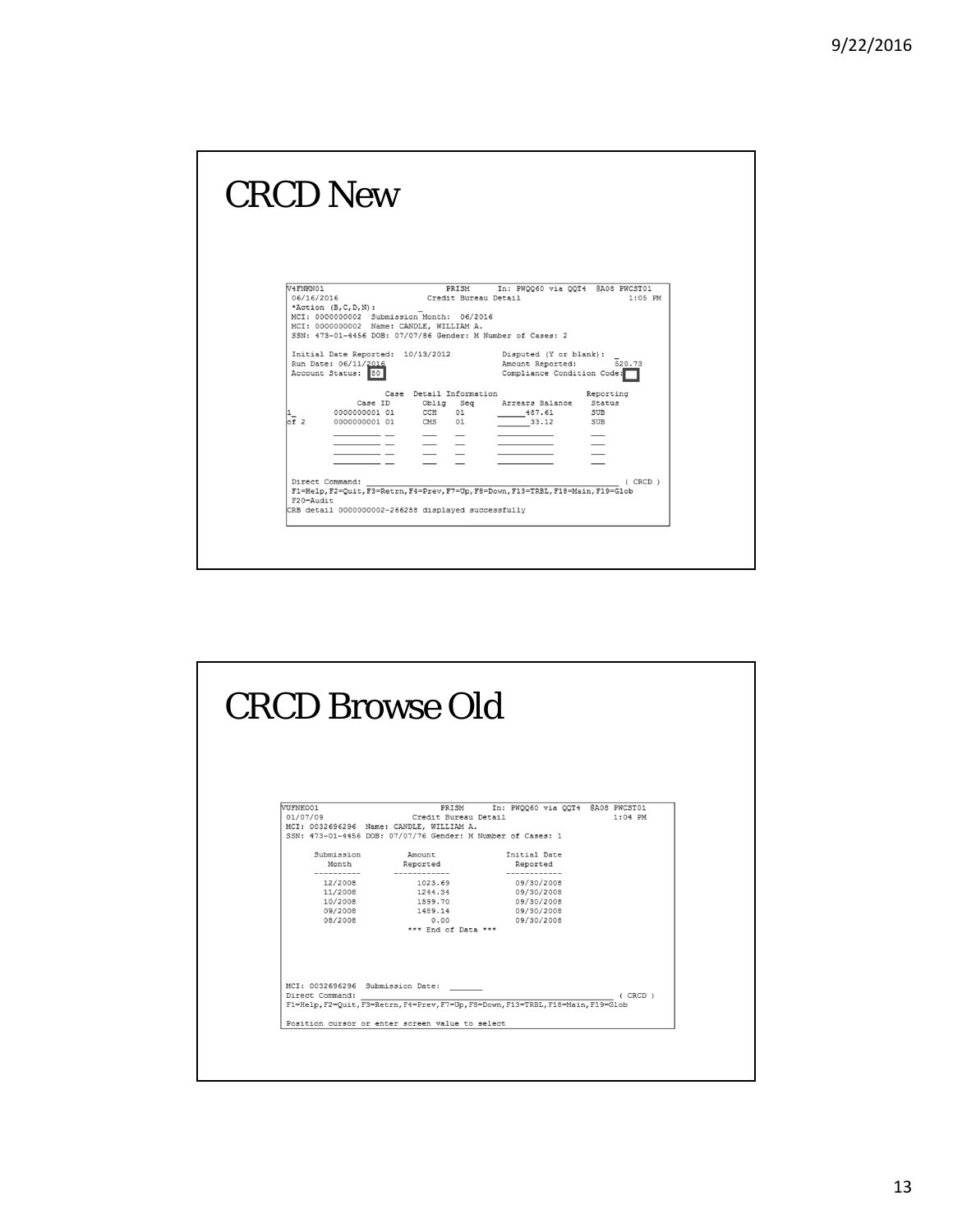|                              | <b>CRCD New</b>                                                                                                   |                                              |                                                                                                 |                         |  |
|------------------------------|-------------------------------------------------------------------------------------------------------------------|----------------------------------------------|-------------------------------------------------------------------------------------------------|-------------------------|--|
| V4FNKN01<br>06/16/2016       | *Action $(B, C, D, N)$ :<br>MCI: 0000000002 Submission Month: 06/2016<br>MCI: 0000000002 Name: CANDLE, WILLIAM A. | PRISM<br>Credit Bureau Detail                | In: PWQQ60 via QQT4 @A08 PWCST01<br>SSN: 473-01-4456 DOB: 07/07/86 Gender: M Number of Cases: 2 | $1:05$ PM               |  |
|                              | Initial Date Reported: 10/13/2012<br>Run Date: 06/11/2016<br>Account Status: 80                                   |                                              | Disputed (Y or blank):<br>Amount Reported:<br>Compliance Condition Code:                        | 520.73                  |  |
| $\overline{\circ f}$ 2       | Case ID<br>00000000001 01 CCH 01<br>0000000001 01 CMS 01                                                          | Case Detail Information<br>Oblig Seg<br>$ -$ | Arrears Balance Status<br>487.61<br>33.12                                                       | Reporting<br>SUB<br>SUB |  |
| Direct Command:<br>F20=Audit | CRB detail 0000000002-266258 displayed successfully                                                               |                                              | F1=Help, F2=Quit, F3=Retrn, F4=Prev, F7=Up, F8=Down, F13=TRBL, F18=Main, F19=Glob               | $($ CRCD $)$            |  |
|                              |                                                                                                                   |                                              |                                                                                                 |                         |  |

| VUFNKO01<br>PRISM In: PWQQ60 via QQT4 @A08 PWCST01<br>01/07/09<br>Credit Bureau Detail<br>$1:04$ PM<br>MCI: 0032696296 Name: CANDLE, WILLIAM A.<br>SSN: 473-01-4456 DOB: 07/07/76 Gender: M Number of Cases: 1<br>Initial Date<br>Submission<br>Amount<br>Reported<br>Month<br>Reported<br>.<br>-------------<br>------------<br>12/2008<br>1023.69<br>09/30/2008<br>11/2008<br>1244.34<br>09/30/2008<br>1599.70<br>10/2008<br>09/30/2008<br>09/2008<br>1489.14<br>09/30/2008<br>08/2008<br>0.00<br>09/30/2008<br>*** End of Data ***<br>MCI: 0032696296 Submission Date:<br>Direct Command:<br>(CRCD)<br>F1=Help, F2=Quit, F3=Retrn, F4=Prev, F7=Up, F8=Down, F13=TRBL, F18=Main, F19=Glob | Position cursor or enter screen value to select |  |
|---------------------------------------------------------------------------------------------------------------------------------------------------------------------------------------------------------------------------------------------------------------------------------------------------------------------------------------------------------------------------------------------------------------------------------------------------------------------------------------------------------------------------------------------------------------------------------------------------------------------------------------------------------------------------------------------|-------------------------------------------------|--|
|                                                                                                                                                                                                                                                                                                                                                                                                                                                                                                                                                                                                                                                                                             |                                                 |  |
|                                                                                                                                                                                                                                                                                                                                                                                                                                                                                                                                                                                                                                                                                             |                                                 |  |
|                                                                                                                                                                                                                                                                                                                                                                                                                                                                                                                                                                                                                                                                                             |                                                 |  |
|                                                                                                                                                                                                                                                                                                                                                                                                                                                                                                                                                                                                                                                                                             |                                                 |  |
|                                                                                                                                                                                                                                                                                                                                                                                                                                                                                                                                                                                                                                                                                             |                                                 |  |
|                                                                                                                                                                                                                                                                                                                                                                                                                                                                                                                                                                                                                                                                                             |                                                 |  |
|                                                                                                                                                                                                                                                                                                                                                                                                                                                                                                                                                                                                                                                                                             |                                                 |  |
|                                                                                                                                                                                                                                                                                                                                                                                                                                                                                                                                                                                                                                                                                             |                                                 |  |
|                                                                                                                                                                                                                                                                                                                                                                                                                                                                                                                                                                                                                                                                                             |                                                 |  |
|                                                                                                                                                                                                                                                                                                                                                                                                                                                                                                                                                                                                                                                                                             |                                                 |  |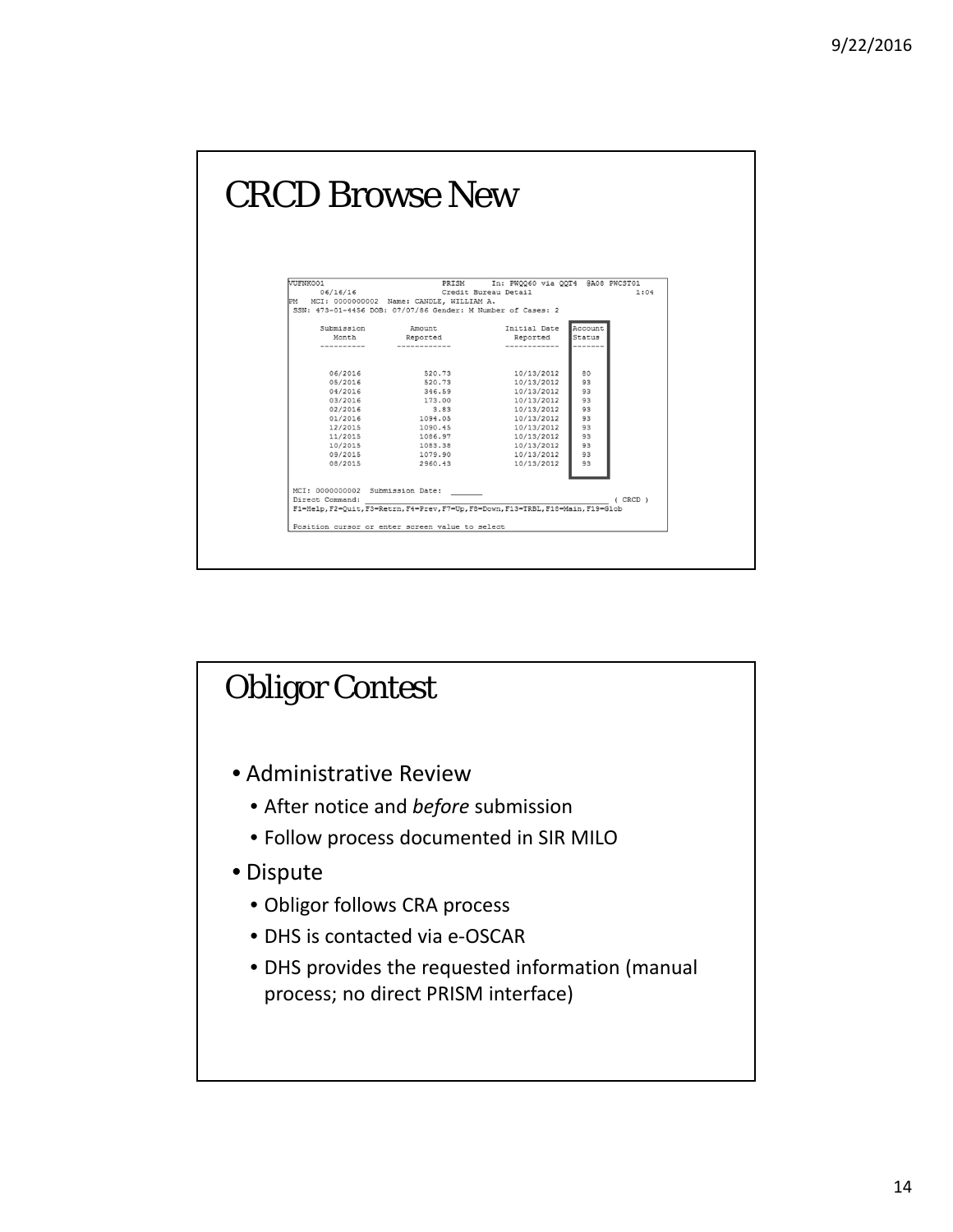| <b>CRCD Browse New</b>                                                                                                |                                                                                                                                      |                                                                                                                                                        |                                                                |              |
|-----------------------------------------------------------------------------------------------------------------------|--------------------------------------------------------------------------------------------------------------------------------------|--------------------------------------------------------------------------------------------------------------------------------------------------------|----------------------------------------------------------------|--------------|
| VUFNKO01<br>06/16/16<br>PM MCI: 0000000002 Name: CANDLE, WILLIAM A.                                                   | PRISM<br>SSN: 473-01-4456 DOB: 07/07/86 Gender: M Number of Cases: 2                                                                 | In: PWQQ60 via QQT4 @A08 PWCST01<br>Credit Bureau Detail                                                                                               |                                                                | 1:04         |
| Submission                                                                                                            | Amount                                                                                                                               | Initial Date                                                                                                                                           | Account                                                        |              |
| Month<br>---------                                                                                                    | Reported                                                                                                                             | Reported                                                                                                                                               | Status                                                         |              |
| 06/2016<br>05/2016<br>04/2016<br>03/2016<br>02/2016<br>01/2016<br>12/2015<br>11/2015<br>10/2015<br>09/2015<br>08/2015 | 520.73<br>520.73<br>346.59<br>173.00<br>3.83<br>1094.05<br>1090.45<br>1086.97<br>1083.38<br>1079.90<br>2960.43                       | 10/13/2012<br>10/13/2012<br>10/13/2012<br>10/13/2012<br>10/13/2012<br>10/13/2012<br>10/13/2012<br>10/13/2012<br>10/13/2012<br>10/13/2012<br>10/13/2012 | 80<br>93<br>93<br>93<br>93<br>93<br>93<br>93<br>93<br>93<br>93 |              |
| MCI: 0000000002 Submission Date:<br>Direct Command:                                                                   | F1=Help, F2=Ouit, F3=Retrn, F4=Prev, F7=Up, F8=Down, F13=TRBL, F18=Main, F19=Glob<br>Position cursor or enter screen value to select |                                                                                                                                                        |                                                                | $($ CRCD $)$ |

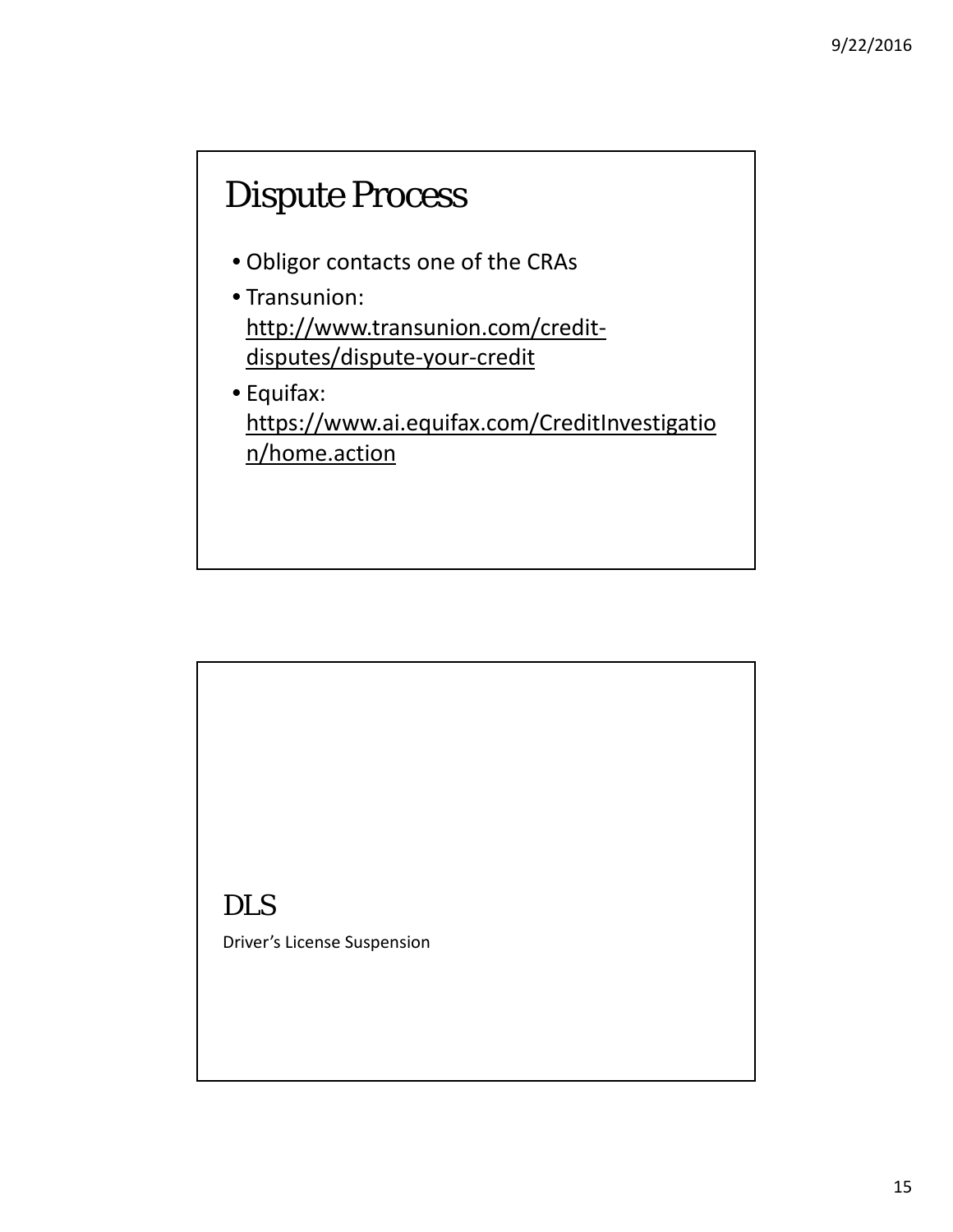#### Dispute Process

- Obligor contacts one of the CRAs
- Transunion: http://www.transunion.com/credit‐ disputes/dispute‐your‐credit
- Equifax: https://www.ai.equifax.com/CreditInvestigatio n/home.action

DLS Driver's License Suspension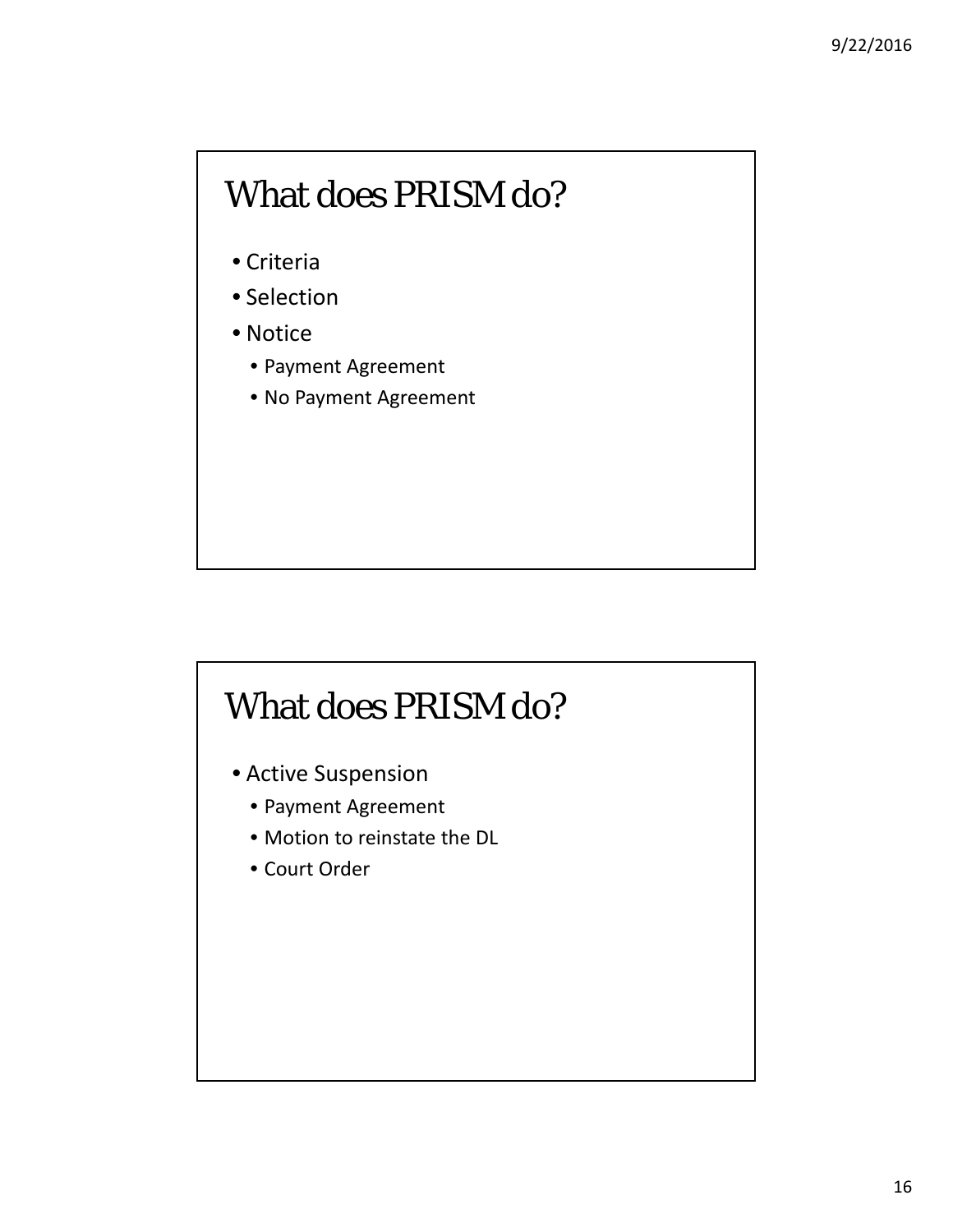#### What does PRISM do?

- Criteria
- Selection
- Notice
	- Payment Agreement
	- No Payment Agreement

#### What does PRISM do?

- Active Suspension
	- Payment Agreement
	- Motion to reinstate the DL
	- Court Order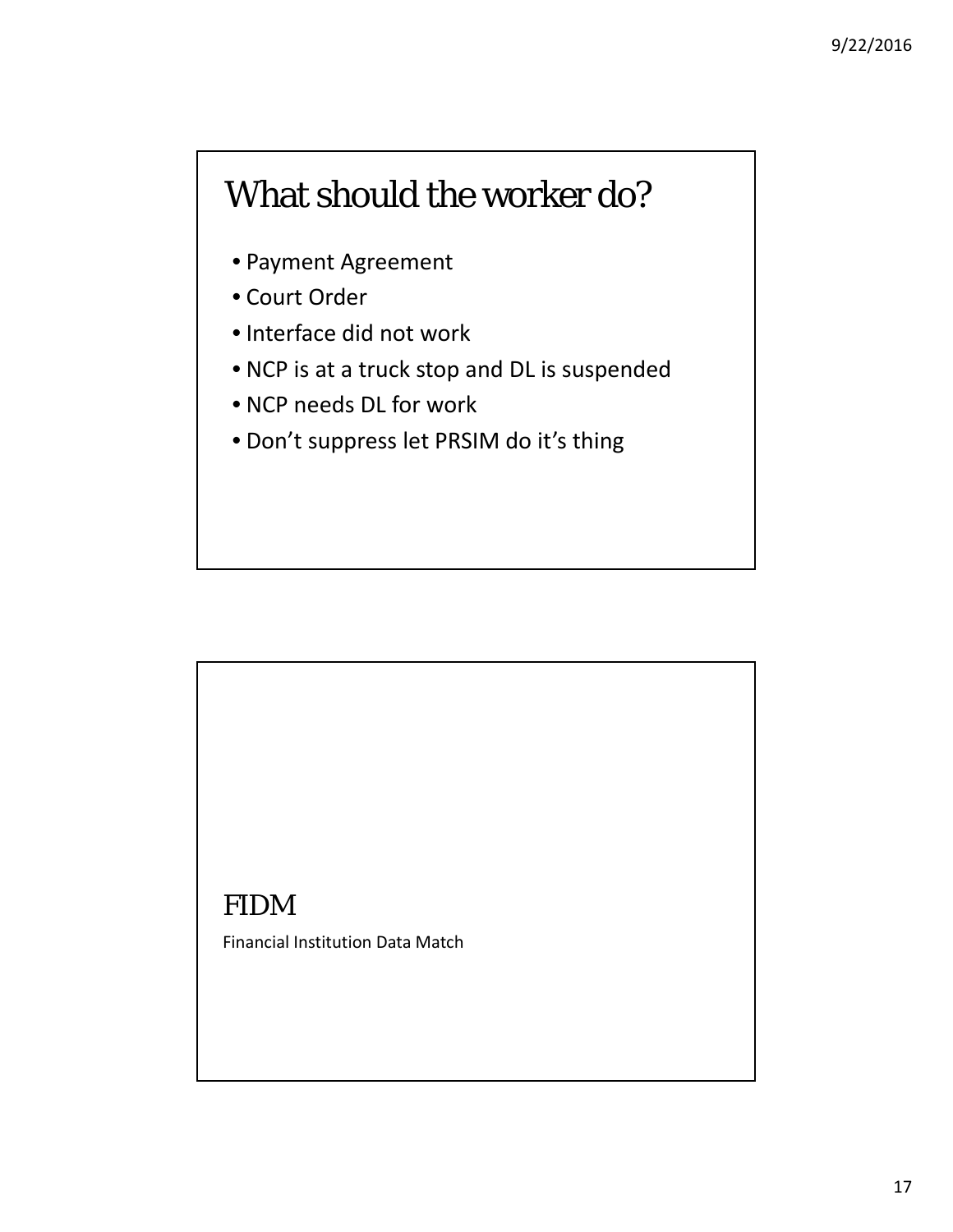#### What should the worker do?

- Payment Agreement
- Court Order
- Interface did not work
- NCP is at a truck stop and DL is suspended
- NCP needs DL for work
- Don't suppress let PRSIM do it's thing

#### FIDM

Financial Institution Data Match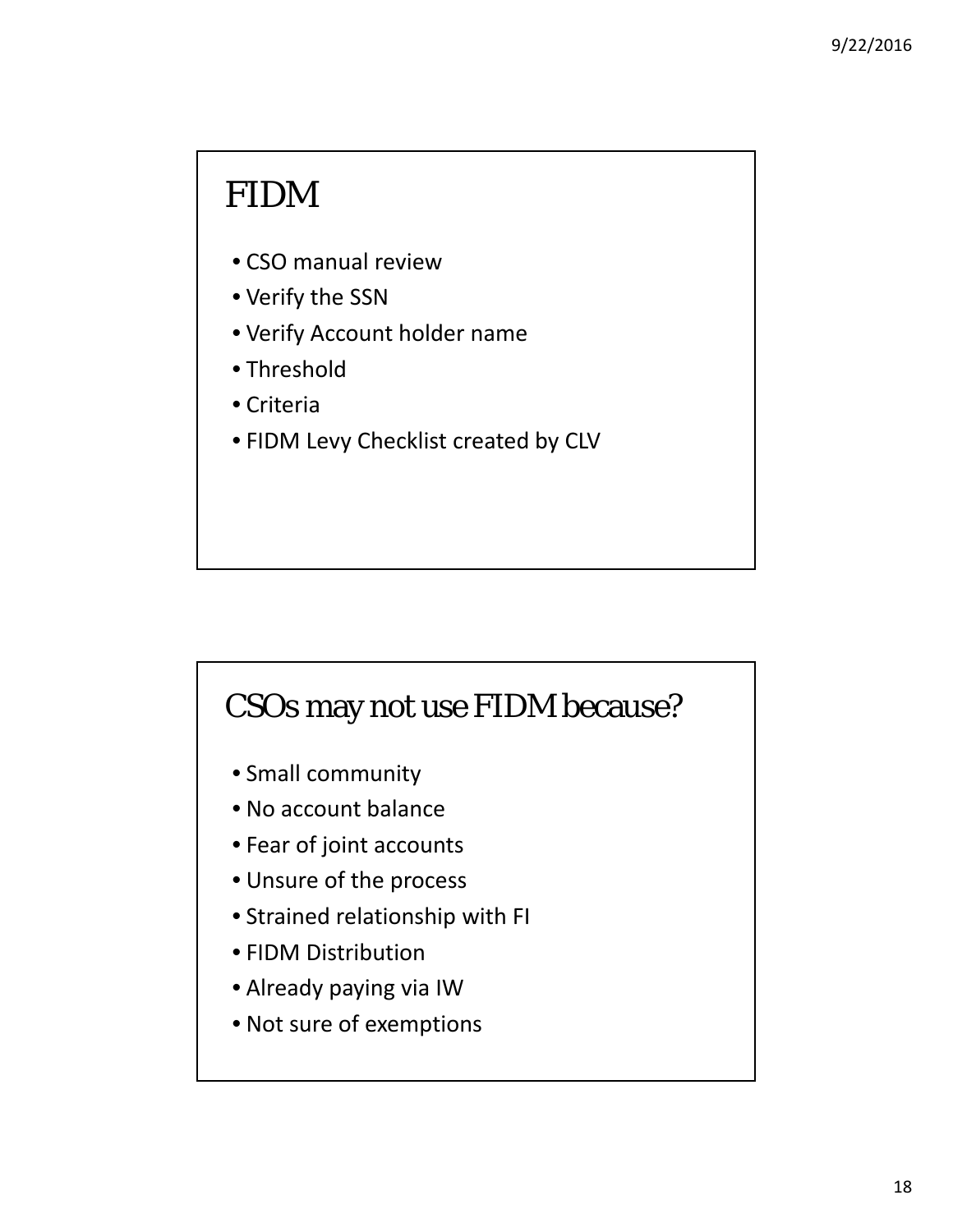#### FIDM

- CSO manual review
- Verify the SSN
- Verify Account holder name
- Threshold
- Criteria
- FIDM Levy Checklist created by CLV

#### CSOs may not use FIDM because?

- Small community
- No account balance
- Fear of joint accounts
- Unsure of the process
- Strained relationship with FI
- FIDM Distribution
- Already paying via IW
- Not sure of exemptions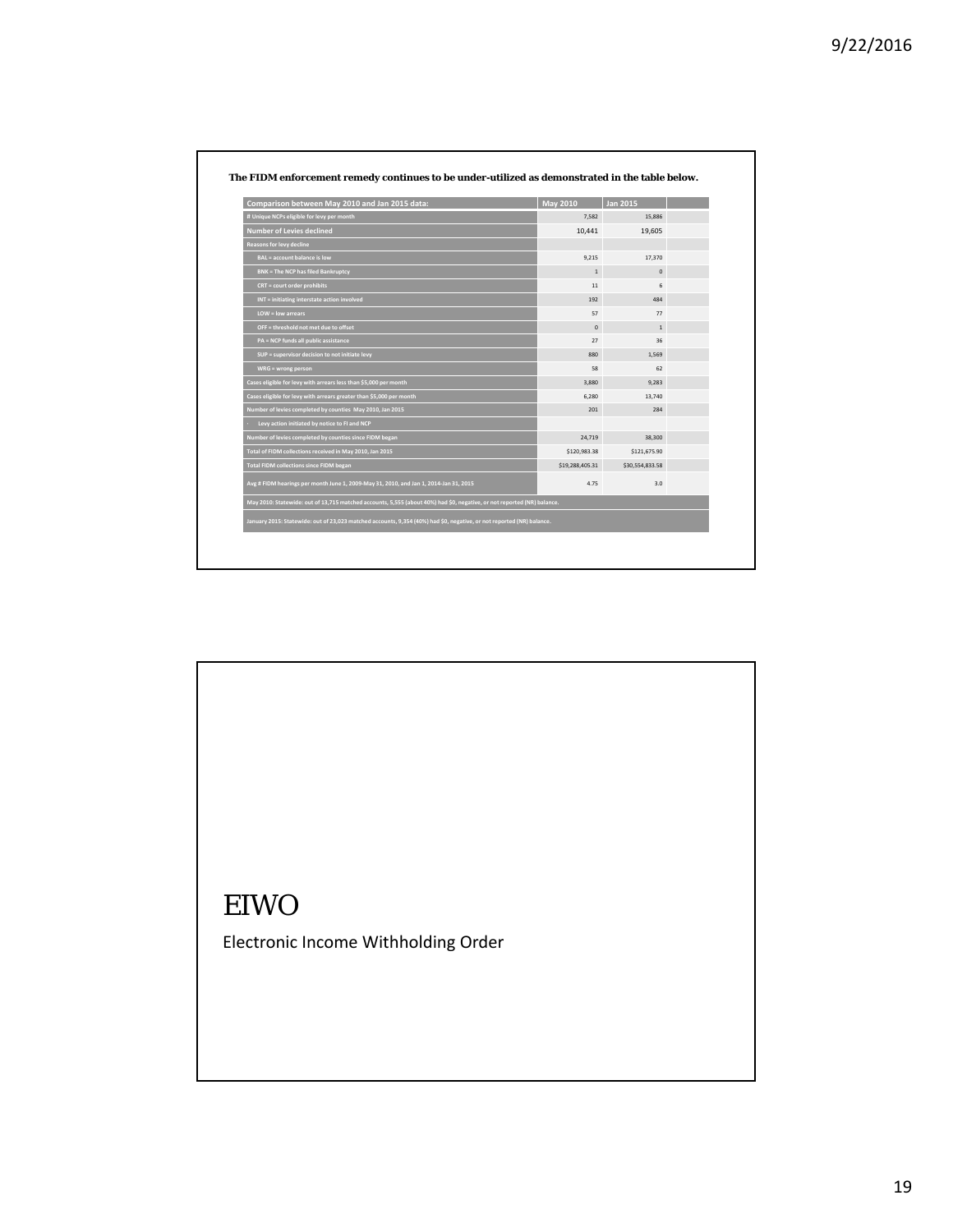| Comparison between May 2010 and Jan 2015 data:                                                                          | <b>May 2010</b> | <b>Jan 2015</b> |  |
|-------------------------------------------------------------------------------------------------------------------------|-----------------|-----------------|--|
| # Unique NCPs eligible for levy per month                                                                               | 7,582           | 15,886          |  |
| <b>Number of Levies declined</b>                                                                                        | 10,441          | 19,605          |  |
| Reasons for levy decline                                                                                                |                 |                 |  |
| BAL = account balance is low                                                                                            | 9,215           | 17,370          |  |
| <b>BNK = The NCP has filed Bankruptcy</b>                                                                               | $\mathbf{1}$    | $\mathbf 0$     |  |
| $CRT = court order$ prohibits                                                                                           | 11              | 6               |  |
| $INT =$ initiating interstate action involved                                                                           | 192             | 484             |  |
| LOW = low arrears                                                                                                       | 57              | 77              |  |
| OFF = threshold not met due to offset                                                                                   | $\mathbf 0$     | $1\,$           |  |
| PA = NCP funds all public assistance                                                                                    | 27              | 36              |  |
| SUP = supervisor decision to not initiate levy                                                                          | 880             | 1,569           |  |
| $WRG = wrong person$                                                                                                    | 58              | 62              |  |
| Cases eligible for levy with arrears less than \$5,000 per month                                                        | 3,880           | 9,283           |  |
| Cases eligible for levy with arrears greater than \$5,000 per month                                                     | 6,280           | 13,740          |  |
| Number of levies completed by counties May 2010, Jan 2015                                                               | 201             | 284             |  |
| Levy action initiated by notice to FI and NCP                                                                           |                 |                 |  |
| Number of levies completed by counties since FIDM began                                                                 | 24,719          | 38,300          |  |
| Total of FIDM collections received in May 2010, Jan 2015                                                                | \$120,983.38    | \$121,675.90    |  |
| <b>Total FIDM collections since FIDM began</b>                                                                          | \$19,288,405.31 | \$30,554,833.58 |  |
| Avg # FIDM hearings per month June 1, 2009-May 31, 2010, and Jan 1, 2014-Jan 31, 2015                                   | 4.75            | 3.0             |  |
| May 2010: Statewide: out of 13,715 matched accounts, 5,555 (about 40%) had \$0, negative, or not reported (NR) balance. |                 |                 |  |
| January 2015: Statewide: out of 23,023 matched accounts, 9,354 (40%) had \$0, negative, or not reported (NR) balance.   |                 |                 |  |

# EIWO Electronic Income Withholding Order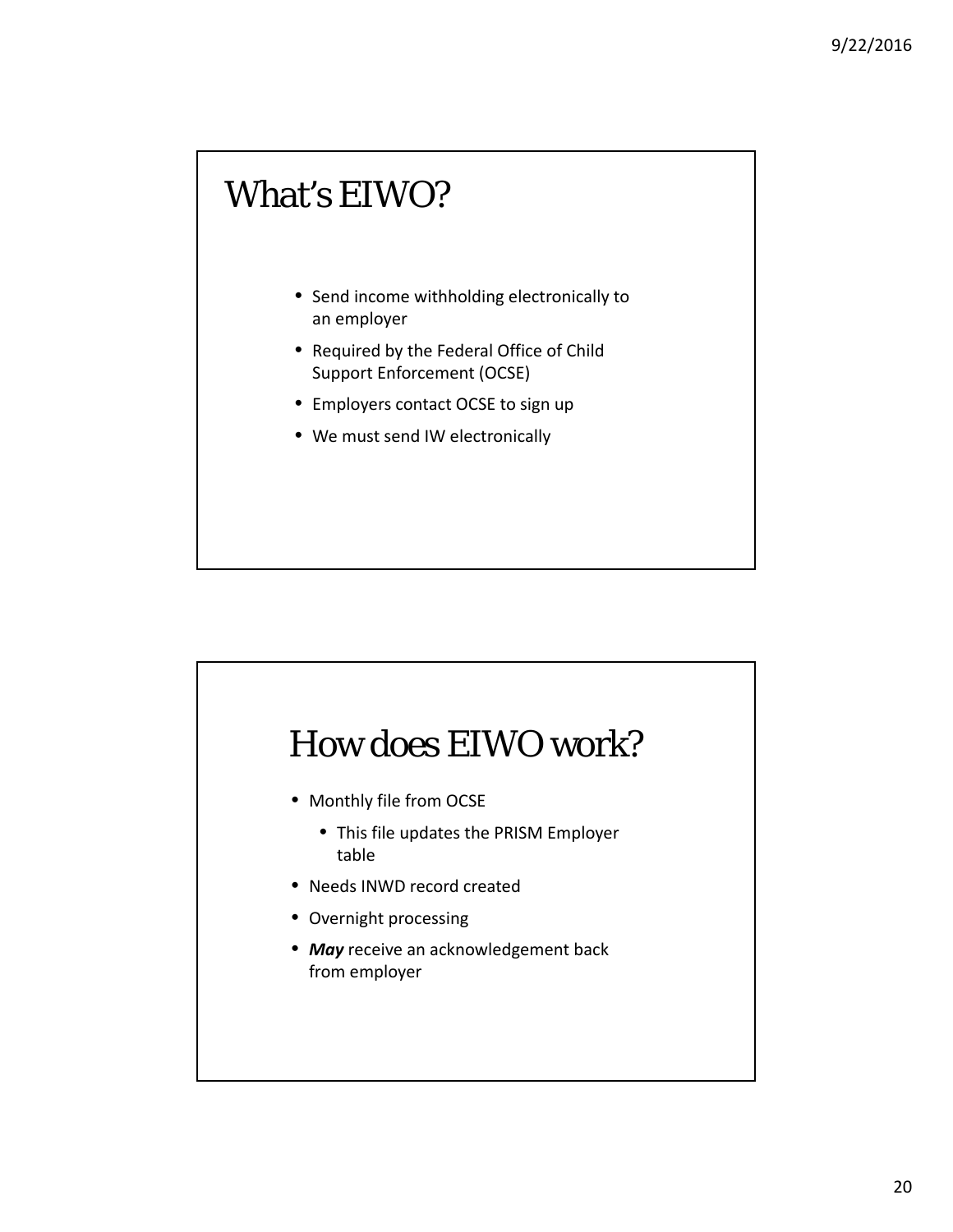#### What's EIWO?

- Send income withholding electronically to an employer
- Required by the Federal Office of Child Support Enforcement (OCSE)
- Employers contact OCSE to sign up
- We must send IW electronically



- Monthly file from OCSE
	- This file updates the PRISM Employer table
- Needs INWD record created
- Overnight processing
- *May* receive an acknowledgement back from employer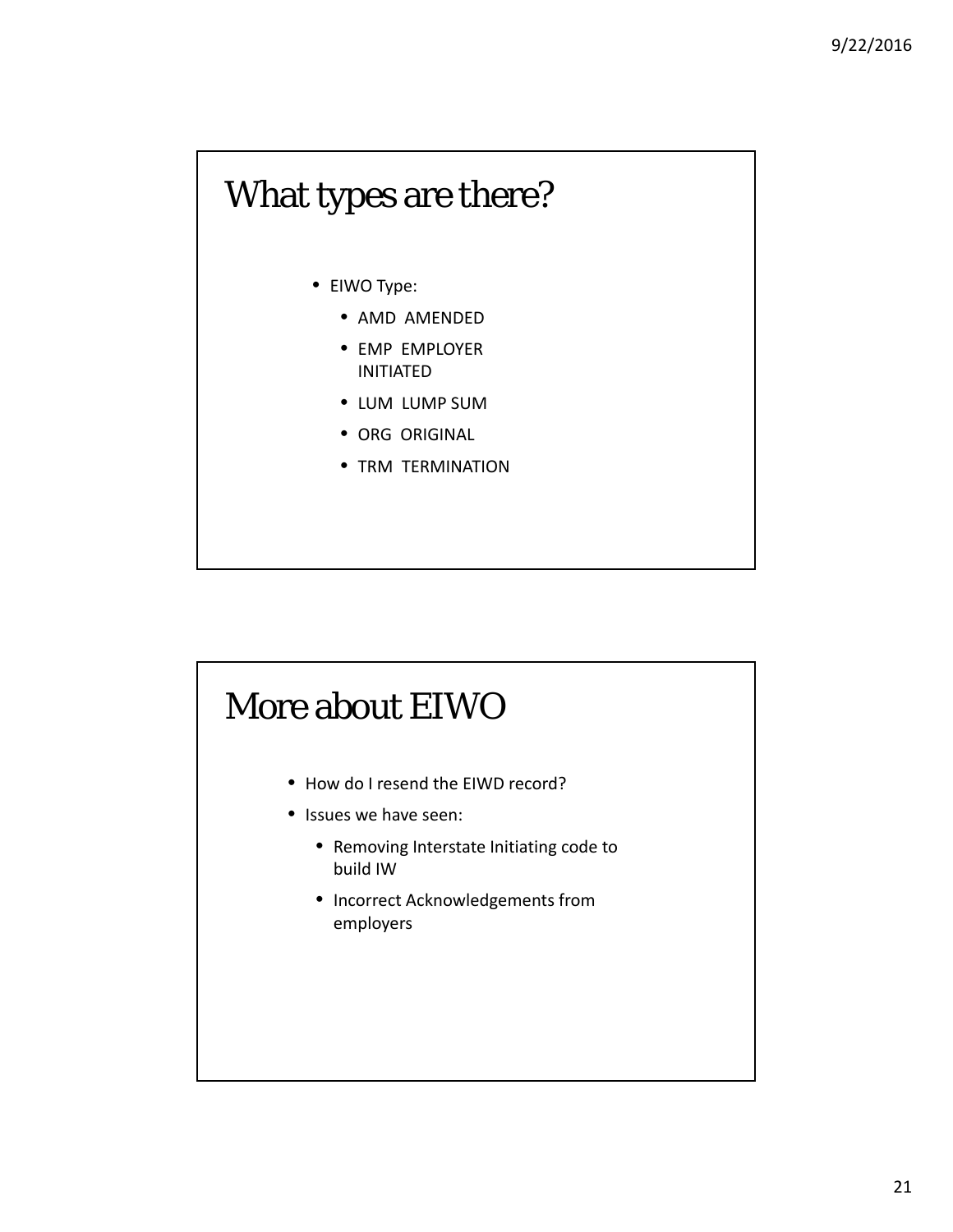#### What types are there?

- EIWO Type:
	- AMD AMENDED
	- EMP EMPLOYER INITIATED
	- LUM LUMP SUM
	- ORG ORIGINAL
	- TRM TERMINATION

## More about EIWO • How do I resend the EIWD record? • Issues we have seen: • Removing Interstate Initiating code to build IW • Incorrect Acknowledgements from employers